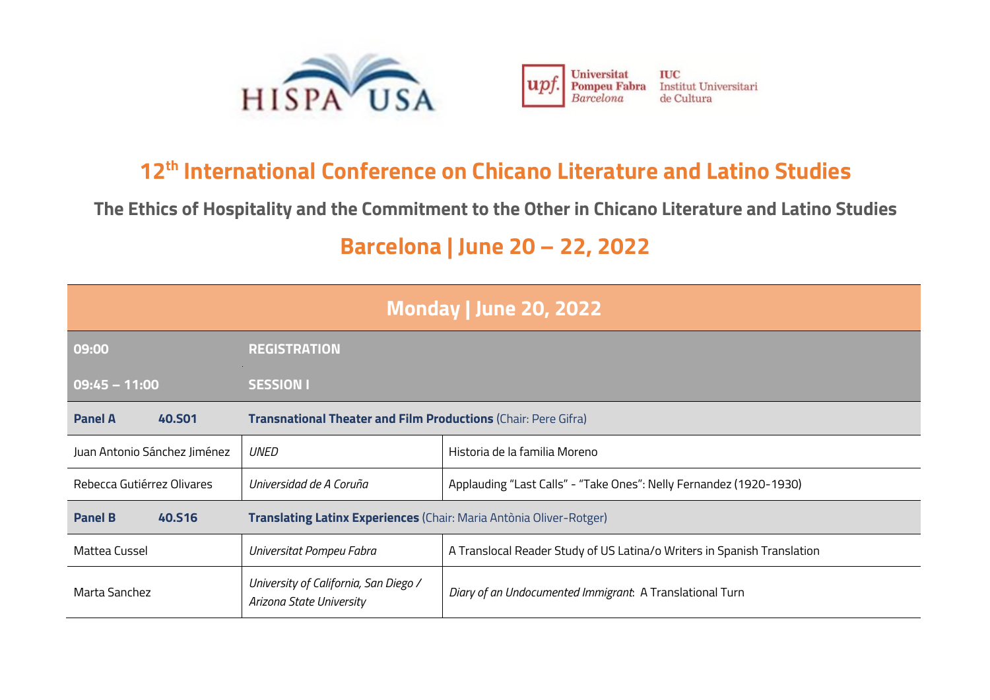



## **12th International Conference on Chicano Literature and Latino Studies**

**The Ethics of Hospitality and the Commitment to the Other in Chicano Literature and Latino Studies**

## **Barcelona | June 20 – 22, 2022**

| <b>Monday   June 20, 2022</b>   |                                                                                               |                                                                         |  |
|---------------------------------|-----------------------------------------------------------------------------------------------|-------------------------------------------------------------------------|--|
| 09:00                           | <b>REGISTRATION</b>                                                                           |                                                                         |  |
| $09:45 - 11:00$                 | <b>SESSION I</b>                                                                              |                                                                         |  |
| <b>Panel A</b><br><b>40.SO1</b> | Transnational Theater and Film Productions (Chair: Pere Gifra)                                |                                                                         |  |
| Juan Antonio Sánchez Jiménez    | UNED                                                                                          | Historia de la familia Moreno                                           |  |
| Rebecca Gutiérrez Olivares      | Universidad de A Coruña<br>Applauding "Last Calls" - "Take Ones": Nelly Fernandez (1920-1930) |                                                                         |  |
| <b>Panel B</b><br><b>40.516</b> | <b>Translating Latinx Experiences</b> (Chair: Maria Antònia Oliver-Rotger)                    |                                                                         |  |
| Mattea Cussel                   | Universitat Pompeu Fabra                                                                      | A Translocal Reader Study of US Latina/o Writers in Spanish Translation |  |
| Marta Sanchez                   | University of California, San Diego /<br>Arizona State University                             | Diary of an Undocumented Immigrant. A Translational Turn                |  |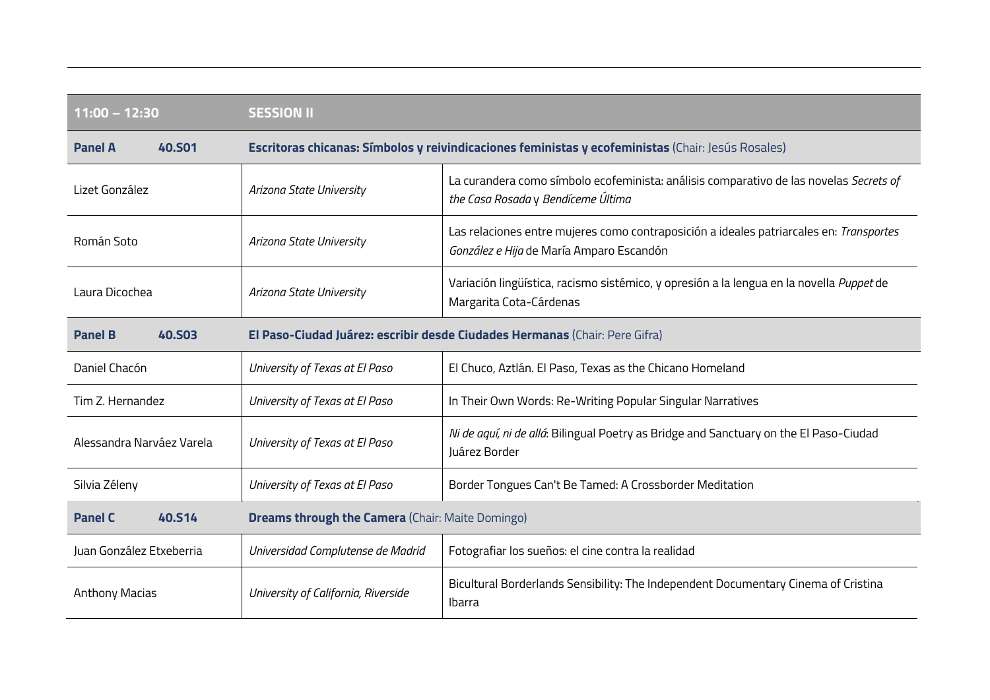| $11:00 - 12:30$                 | <b>SESSION II</b>                                       |                                                                                                                                     |
|---------------------------------|---------------------------------------------------------|-------------------------------------------------------------------------------------------------------------------------------------|
| <b>40.S01</b><br><b>Panel A</b> |                                                         | Escritoras chicanas: Símbolos y reivindicaciones feministas y ecofeministas (Chair: Jesús Rosales)                                  |
| Lizet González                  | Arizona State University                                | La curandera como símbolo ecofeminista: análisis comparativo de las novelas Secrets of<br>the Casa Rosada y Bendíceme Última        |
| Román Soto                      | Arizona State University                                | Las relaciones entre mujeres como contraposición a ideales patriarcales en: Transportes<br>González e Hija de María Amparo Escandón |
| Laura Dicochea                  | Arizona State University                                | Variación lingüística, racismo sistémico, y opresión a la lengua en la novella Puppet de<br>Margarita Cota-Cárdenas                 |
| <b>40.503</b><br><b>Panel B</b> |                                                         | El Paso-Ciudad Juárez: escribir desde Ciudades Hermanas (Chair: Pere Gifra)                                                         |
| Daniel Chacón                   | University of Texas at El Paso                          | El Chuco, Aztlán. El Paso, Texas as the Chicano Homeland                                                                            |
| Tim Z. Hernandez                | University of Texas at El Paso                          | In Their Own Words: Re-Writing Popular Singular Narratives                                                                          |
| Alessandra Narváez Varela       | University of Texas at El Paso                          | Ni de aquí, ni de allá: Bilingual Poetry as Bridge and Sanctuary on the El Paso-Ciudad<br>Juárez Border                             |
| Silvia Zéleny                   | University of Texas at El Paso                          | Border Tongues Can't Be Tamed: A Crossborder Meditation                                                                             |
| <b>Panel C</b><br>40.S14        | <b>Dreams through the Camera (Chair: Maite Domingo)</b> |                                                                                                                                     |
| Juan González Etxeberria        | Universidad Complutense de Madrid                       | Fotografiar los sueños: el cine contra la realidad                                                                                  |
| <b>Anthony Macias</b>           | University of California, Riverside                     | Bicultural Borderlands Sensibility: The Independent Documentary Cinema of Cristina<br><b>Ibarra</b>                                 |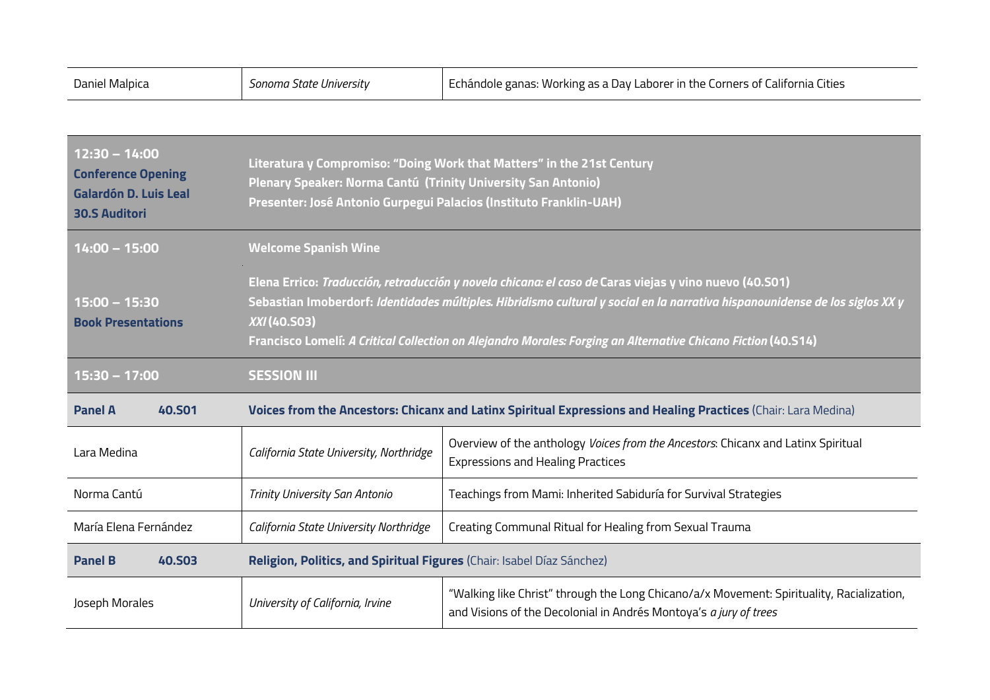| Daniel Malpica                                                                                       | Sonoma State University                                                                                                                                                                                                                                                                                                                                                 | Echándole ganas: Working as a Day Laborer in the Corners of California Cities                                                                                  |
|------------------------------------------------------------------------------------------------------|-------------------------------------------------------------------------------------------------------------------------------------------------------------------------------------------------------------------------------------------------------------------------------------------------------------------------------------------------------------------------|----------------------------------------------------------------------------------------------------------------------------------------------------------------|
|                                                                                                      |                                                                                                                                                                                                                                                                                                                                                                         |                                                                                                                                                                |
| $12:30 - 14:00$<br><b>Conference Opening</b><br><b>Galardón D. Luis Leal</b><br><b>30.S Auditori</b> | Literatura y Compromiso: "Doing Work that Matters" in the 21st Century<br>Plenary Speaker: Norma Cantú (Trinity University San Antonio)<br>Presenter: José Antonio Gurpegui Palacios (Instituto Franklin-UAH)                                                                                                                                                           |                                                                                                                                                                |
| 14:00 - 15:00                                                                                        | <b>Welcome Spanish Wine</b>                                                                                                                                                                                                                                                                                                                                             |                                                                                                                                                                |
| $15:00 - 15:30$<br><b>Book Presentations</b>                                                         | Elena Errico: Traducción, retraducción y novela chicana: el caso de Caras viejas y vino nuevo (40.501)<br>Sebastian Imoberdorf: Identidades múltiples. Hibridismo cultural y social en la narrativa hispanounidense de los siglos XX y<br>XXI (40.S03)<br>Francisco Lomelí: A Critical Collection on Alejandro Morales: Forging an Alternative Chicano Fiction (40.514) |                                                                                                                                                                |
| 15:30 - 17:00                                                                                        | <b>SESSION III</b>                                                                                                                                                                                                                                                                                                                                                      |                                                                                                                                                                |
| <b>Panel A</b><br><b>40.S01</b>                                                                      | Voices from the Ancestors: Chicanx and Latinx Spiritual Expressions and Healing Practices (Chair: Lara Medina)                                                                                                                                                                                                                                                          |                                                                                                                                                                |
| Lara Medina                                                                                          | California State University, Northridge                                                                                                                                                                                                                                                                                                                                 | Overview of the anthology Voices from the Ancestors: Chicanx and Latinx Spiritual<br><b>Expressions and Healing Practices</b>                                  |
| Norma Cantú                                                                                          | Trinity University San Antonio                                                                                                                                                                                                                                                                                                                                          | Teachings from Mami: Inherited Sabiduría for Survival Strategies                                                                                               |
| María Elena Fernández                                                                                | California State University Northridge                                                                                                                                                                                                                                                                                                                                  | Creating Communal Ritual for Healing from Sexual Trauma                                                                                                        |
| <b>Panel B</b><br><b>40.S03</b>                                                                      | Religion, Politics, and Spiritual Figures (Chair: Isabel Díaz Sánchez)                                                                                                                                                                                                                                                                                                  |                                                                                                                                                                |
| Joseph Morales                                                                                       | University of California, Irvine                                                                                                                                                                                                                                                                                                                                        | "Walking like Christ" through the Long Chicano/a/x Movement: Spirituality, Racialization,<br>and Visions of the Decolonial in Andrés Montoya's a jury of trees |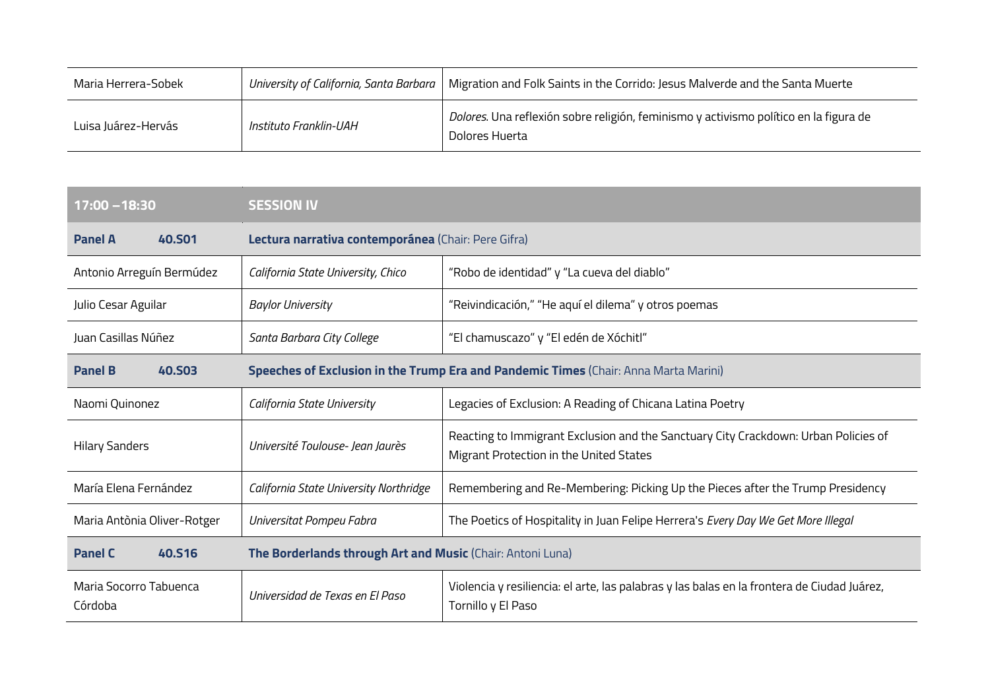| Maria Herrera-Sobek | University of California, Santa Barbara | Migration and Folk Saints in the Corrido: Jesus Malverde and the Santa Muerte                           |
|---------------------|-----------------------------------------|---------------------------------------------------------------------------------------------------------|
| Luisa Juárez-Hervás | Instituto Franklin-UAH                  | Dolores. Una reflexión sobre religión, feminismo y activismo político en la figura de<br>Dolores Huerta |

| 17:00 - 18:30                     | <b>SESSION IV</b>                                                                    |                                                                                                                                |
|-----------------------------------|--------------------------------------------------------------------------------------|--------------------------------------------------------------------------------------------------------------------------------|
| <b>Panel A</b><br><b>40,501</b>   | Lectura narrativa contemporánea (Chair: Pere Gifra)                                  |                                                                                                                                |
| Antonio Arreguín Bermúdez         | California State University, Chico                                                   | "Robo de identidad" y "La cueva del diablo"                                                                                    |
| Julio Cesar Aguilar               | <b>Baylor University</b>                                                             | "Reivindicación," "He aquí el dilema" y otros poemas                                                                           |
| Juan Casillas Núñez               | Santa Barbara City College                                                           | "El chamuscazo" y "El edén de Xóchitl"                                                                                         |
| <b>Panel B</b><br><b>40.SO3</b>   | Speeches of Exclusion in the Trump Era and Pandemic Times (Chair: Anna Marta Marini) |                                                                                                                                |
| Naomi Quinonez                    | California State University                                                          | Legacies of Exclusion: A Reading of Chicana Latina Poetry                                                                      |
| <b>Hilary Sanders</b>             | Université Toulouse- Jean Jaurès                                                     | Reacting to Immigrant Exclusion and the Sanctuary City Crackdown: Urban Policies of<br>Migrant Protection in the United States |
| María Elena Fernández             | California State University Northridge                                               | Remembering and Re-Membering: Picking Up the Pieces after the Trump Presidency                                                 |
| Maria Antònia Oliver-Rotger       | Universitat Pompeu Fabra                                                             | The Poetics of Hospitality in Juan Felipe Herrera's Every Day We Get More Illegal                                              |
| <b>Panel C</b><br><b>40.S16</b>   | The Borderlands through Art and Music (Chair: Antoni Luna)                           |                                                                                                                                |
| Maria Socorro Tabuenca<br>Córdoba | Universidad de Texas en El Paso                                                      | Violencia y resiliencia: el arte, las palabras y las balas en la frontera de Ciudad Juárez,<br>Tornillo y El Paso              |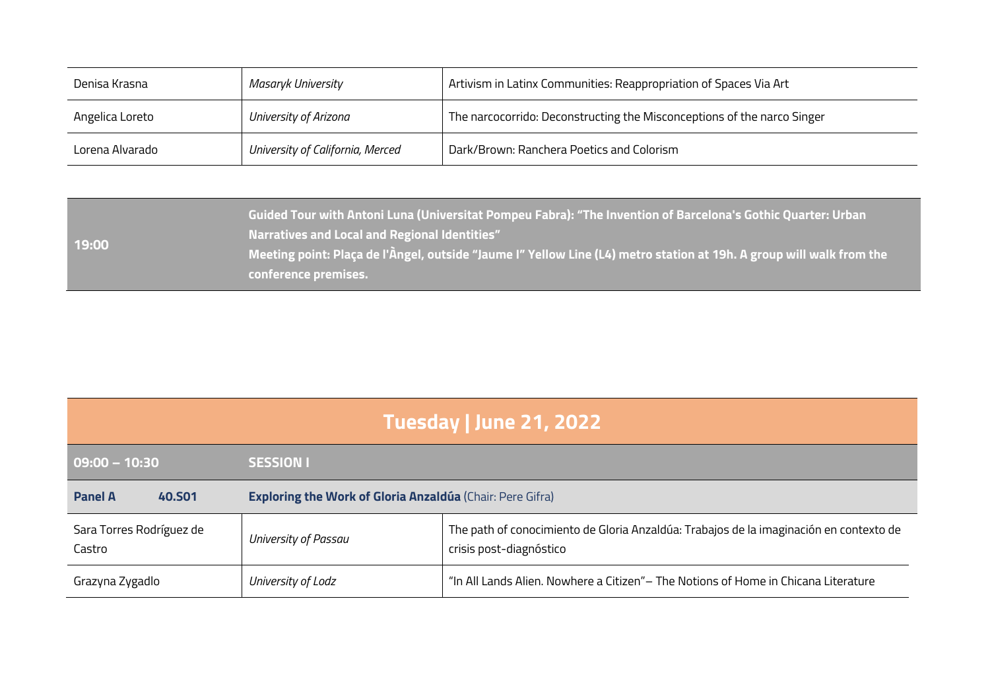| Denisa Krasna   | Masaryk University               | Artivism in Latinx Communities: Reappropriation of Spaces Via Art       |
|-----------------|----------------------------------|-------------------------------------------------------------------------|
| Angelica Loreto | University of Arizona            | The narcocorrido: Deconstructing the Misconceptions of the narco Singer |
| Lorena Alvarado | University of California, Merced | Dark/Brown: Ranchera Poetics and Colorism                               |

|       | Guided Tour with Antoni Luna (Universitat Pompeu Fabra): "The Invention of Barcelona's Gothic Quarter: Urban \<br><b>Narratives and Local and Regional Identities"</b> |
|-------|------------------------------------------------------------------------------------------------------------------------------------------------------------------------|
| 19:00 | Meeting point: Plaça de l'Àngel, outside "Jaume I" Yellow Line (L4) metro station at 19h. A group will walk from the                                                   |
|       | conference premises.                                                                                                                                                   |

| Tuesday   June 21, 2022            |                                                                  |                                                                                                                   |  |
|------------------------------------|------------------------------------------------------------------|-------------------------------------------------------------------------------------------------------------------|--|
| $09:00 - 10:30$                    | <b>SESSION I</b>                                                 |                                                                                                                   |  |
| <b>Panel A</b><br><b>40.SO1</b>    | <b>Exploring the Work of Gloria Anzaldúa</b> (Chair: Pere Gifra) |                                                                                                                   |  |
| Sara Torres Rodríguez de<br>Castro | University of Passau                                             | The path of conocimiento de Gloria Anzaldúa: Trabajos de la imaginación en contexto de<br>crisis post-diagnóstico |  |
| Grazyna Zygadlo                    | University of Lodz                                               | "In All Lands Alien. Nowhere a Citizen" - The Notions of Home in Chicana Literature                               |  |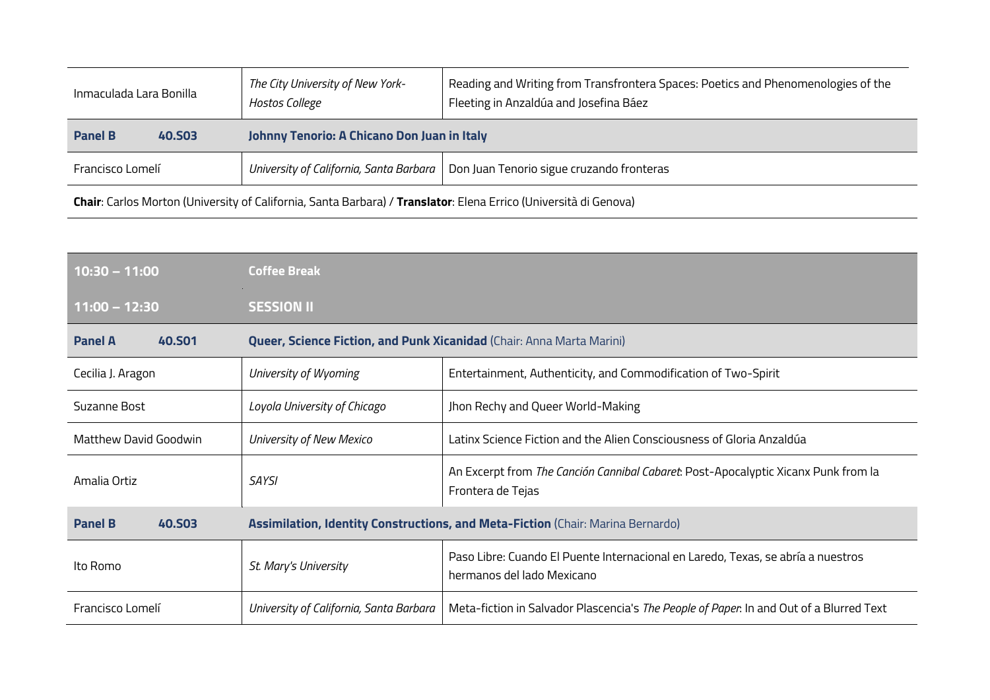| Inmaculada Lara Bonilla         | The City University of New York-<br>Hostos College | Reading and Writing from Transfrontera Spaces: Poetics and Phenomenologies of the<br>Fleeting in Anzaldúa and Josefina Báez |
|---------------------------------|----------------------------------------------------|-----------------------------------------------------------------------------------------------------------------------------|
| <b>Panel B</b><br><b>40.S03</b> | Johnny Tenorio: A Chicano Don Juan in Italy        |                                                                                                                             |
| Francisco Lomelí                |                                                    | University of California, Santa Barbara   Don Juan Tenorio sigue cruzando fronteras                                         |
|                                 |                                                    |                                                                                                                             |

**Chair**: Carlos Morton (University of California, Santa Barbara) / **Translator**: Elena Errico (Università di Genova)

| $10:30 - 11:00$                 | <b>Coffee Break</b>                                                             |                                                                                                                |
|---------------------------------|---------------------------------------------------------------------------------|----------------------------------------------------------------------------------------------------------------|
| $11:00 - 12:30$                 | <b>SESSION II</b>                                                               |                                                                                                                |
| <b>Panel A</b><br><b>40.SO1</b> | <b>Queer, Science Fiction, and Punk Xicanidad (Chair: Anna Marta Marini)</b>    |                                                                                                                |
| Cecilia J. Aragon               | University of Wyoming                                                           | Entertainment, Authenticity, and Commodification of Two-Spirit                                                 |
| Suzanne Bost                    | Loyola University of Chicago                                                    | Jhon Rechy and Queer World-Making                                                                              |
| <b>Matthew David Goodwin</b>    | University of New Mexico                                                        | Latinx Science Fiction and the Alien Consciousness of Gloria Anzaldúa                                          |
| Amalia Ortiz                    | <b>SAYSI</b>                                                                    | An Excerpt from The Canción Cannibal Cabaret: Post-Apocalyptic Xicanx Punk from la<br>Frontera de Tejas        |
| <b>Panel B</b><br><b>40.SO3</b> | Assimilation, Identity Constructions, and Meta-Fiction (Chair: Marina Bernardo) |                                                                                                                |
| Ito Romo                        | St. Mary's University                                                           | Paso Libre: Cuando El Puente Internacional en Laredo, Texas, se abría a nuestros<br>hermanos del lado Mexicano |
| Francisco Lomelí                | University of California, Santa Barbara                                         | Meta-fiction in Salvador Plascencia's The People of Paper. In and Out of a Blurred Text                        |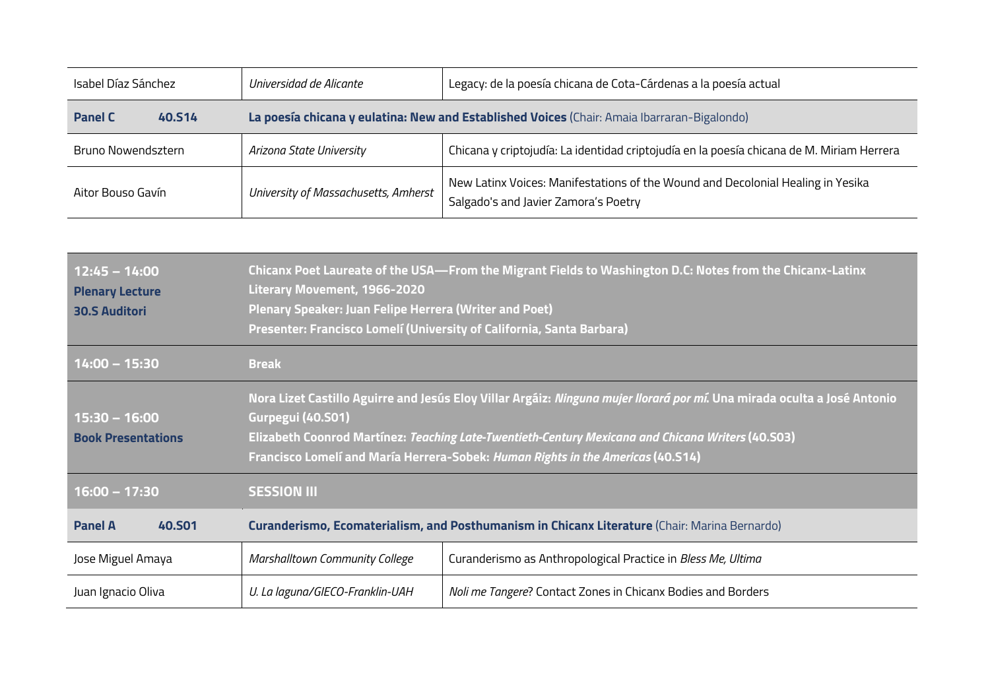| Isabel Díaz Sánchez      | Universidad de Alicante              | Legacy: de la poesía chicana de Cota-Cárdenas a la poesía actual                                                        |
|--------------------------|--------------------------------------|-------------------------------------------------------------------------------------------------------------------------|
| <b>Panel C</b><br>40.S14 |                                      | La poesía chicana y eulatina: New and Established Voices (Chair: Amaia Ibarraran-Bigalondo)                             |
| Bruno Nowendsztern       | Arizona State University             | Chicana y criptojudía: La identidad criptojudía en la poesía chicana de M. Miriam Herrera                               |
| Aitor Bouso Gavín        | University of Massachusetts, Amherst | New Latinx Voices: Manifestations of the Wound and Decolonial Healing in Yesika<br>Salgado's and Javier Zamora's Poetry |

| $12:45 - 14:00$<br><b>Plenary Lecture</b><br><b>30.S Auditori</b> | Chicanx Poet Laureate of the USA—From the Migrant Fields to Washington D.C: Notes from the Chicanx-Latinx<br><b>Literary Movement, 1966-2020</b><br><b>Plenary Speaker: Juan Felipe Herrera (Writer and Poet)</b><br>Presenter: Francisco Lomelí (University of California, Santa Barbara)                                                    |                                                              |
|-------------------------------------------------------------------|-----------------------------------------------------------------------------------------------------------------------------------------------------------------------------------------------------------------------------------------------------------------------------------------------------------------------------------------------|--------------------------------------------------------------|
| $14:00 - 15:30$                                                   | <b>Break</b>                                                                                                                                                                                                                                                                                                                                  |                                                              |
| $15:30 - 16:00$<br><b>Book Presentations</b>                      | Nora Lizet Castillo Aguirre and Jesús Eloy Villar Argáiz: <i>Ninguna mujer llorará por mí</i> . Una mirada oculta a José Antonio<br>Gurpegui (40.S01)<br>Elizabeth Coonrod Martínez: Teaching Late-Twentieth-Century Mexicana and Chicana Writers (40.503)<br>Francisco Lomelí and María Herrera-Sobek: Human Rights in the Americas (40.514) |                                                              |
| $16:00 - 17:30$                                                   | <b>SESSION III</b>                                                                                                                                                                                                                                                                                                                            |                                                              |
| <b>Panel A</b><br><b>40.SO1</b>                                   | Curanderismo, Ecomaterialism, and Posthumanism in Chicanx Literature (Chair: Marina Bernardo)                                                                                                                                                                                                                                                 |                                                              |
| Jose Miguel Amaya                                                 | Marshalltown Community College                                                                                                                                                                                                                                                                                                                | Curanderismo as Anthropological Practice in Bless Me, Ultima |
| Juan Ignacio Oliva                                                | U. La laguna/GIECO-Franklin-UAH                                                                                                                                                                                                                                                                                                               | Noli me Tangere? Contact Zones in Chicanx Bodies and Borders |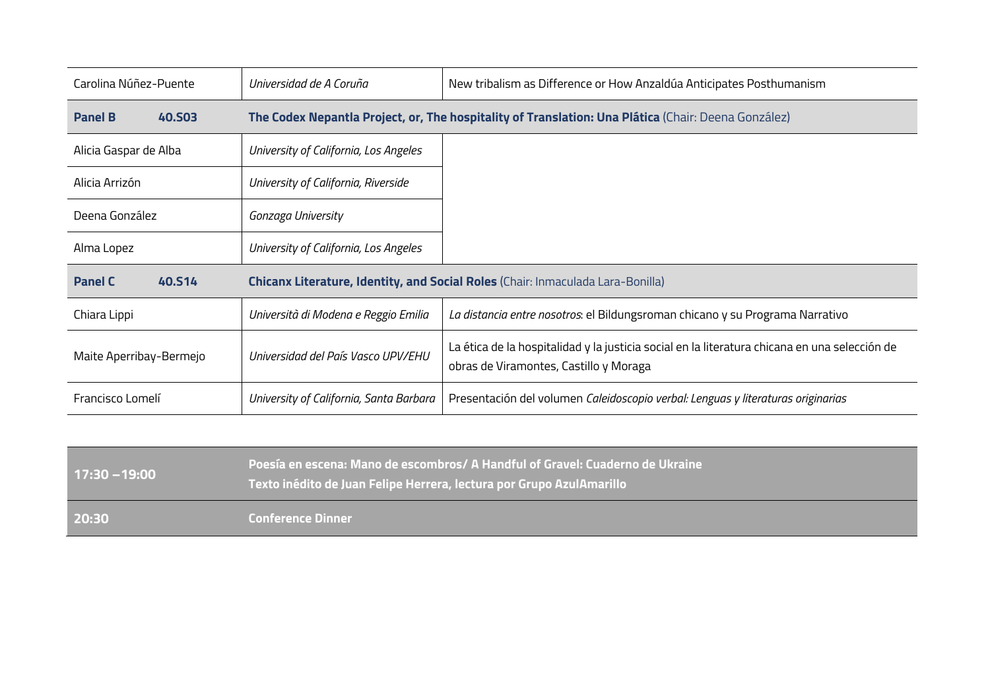| Carolina Núñez-Puente           | Universidad de A Coruña                                                         | New tribalism as Difference or How Anzaldúa Anticipates Posthumanism                                                                    |
|---------------------------------|---------------------------------------------------------------------------------|-----------------------------------------------------------------------------------------------------------------------------------------|
| <b>Panel B</b><br><b>40.S03</b> |                                                                                 | The Codex Nepantla Project, or, The hospitality of Translation: Una Plática (Chair: Deena González)                                     |
| Alicia Gaspar de Alba           | University of California, Los Angeles                                           |                                                                                                                                         |
| Alicia Arrizón                  | University of California, Riverside                                             |                                                                                                                                         |
| Deena González                  | Gonzaga University                                                              |                                                                                                                                         |
| Alma Lopez                      | University of California, Los Angeles                                           |                                                                                                                                         |
| <b>Panel C</b><br>40.S14        | Chicanx Literature, Identity, and Social Roles (Chair: Inmaculada Lara-Bonilla) |                                                                                                                                         |
| Chiara Lippi                    | Università di Modena e Reggio Emilia                                            | La distancia entre nosotros: el Bildungsroman chicano y su Programa Narrativo                                                           |
| Maite Aperribay-Bermejo         | Universidad del País Vasco UPV/EHU                                              | La ética de la hospitalidad y la justicia social en la literatura chicana en una selección de<br>obras de Viramontes, Castillo y Moraga |
| Francisco Lomelí                | University of California, Santa Barbara                                         | Presentación del volumen Caleidoscopio verbal: Lenguas y literaturas originarias                                                        |

| 17:30 –19:00 | - Poesía en escena: Mano de escombros/ A Handful of Gravel: Cuaderno de Ukraine<br>Texto inédito de Juan Felipe Herrera, lectura por Grupo AzulAmarillo , |
|--------------|-----------------------------------------------------------------------------------------------------------------------------------------------------------|
| 20:30        | <b>Conference Dinner</b>                                                                                                                                  |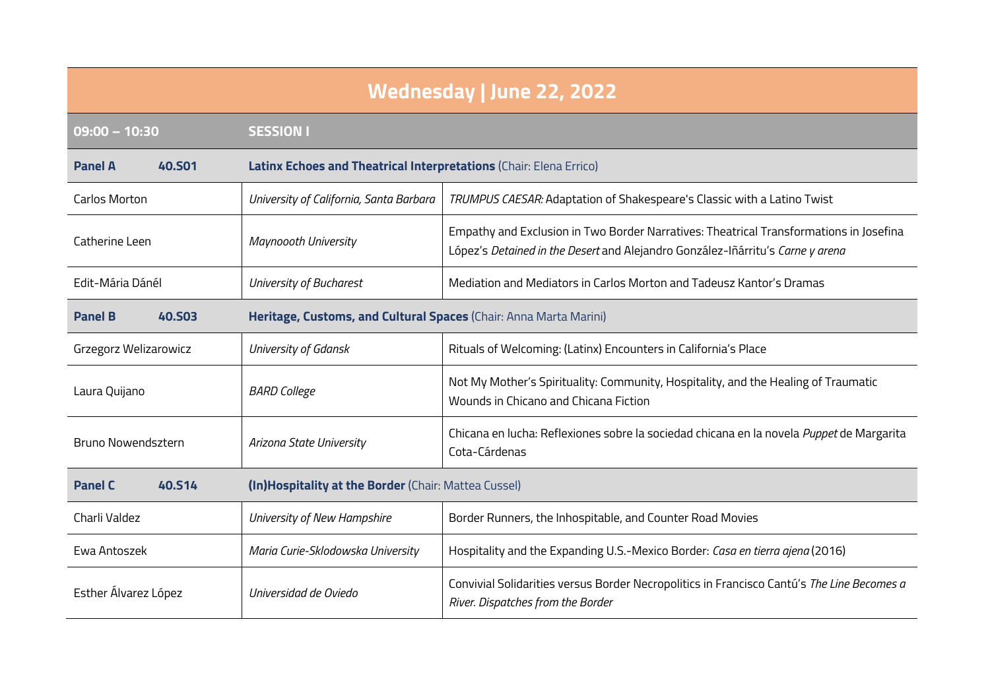| <b>Wednesday   June 22, 2022</b>                                                 |                                                                    |                                                                                                                                                                          |
|----------------------------------------------------------------------------------|--------------------------------------------------------------------|--------------------------------------------------------------------------------------------------------------------------------------------------------------------------|
| $09:00 - 10:30$                                                                  | <b>SESSION I</b>                                                   |                                                                                                                                                                          |
| <b>Panel A</b><br><b>40.S01</b>                                                  | Latinx Echoes and Theatrical Interpretations (Chair: Elena Errico) |                                                                                                                                                                          |
| Carlos Morton                                                                    | University of California, Santa Barbara                            | TRUMPUS CAESAR: Adaptation of Shakespeare's Classic with a Latino Twist                                                                                                  |
| Catherine Leen                                                                   | Maynoooth University                                               | Empathy and Exclusion in Two Border Narratives: Theatrical Transformations in Josefina<br>López's Detained in the Desert and Alejandro González-Iñárritu's Carne y arena |
| Edit-Mária Dánél                                                                 | University of Bucharest                                            | Mediation and Mediators in Carlos Morton and Tadeusz Kantor's Dramas                                                                                                     |
| <b>Panel B</b><br><b>40.S03</b>                                                  | Heritage, Customs, and Cultural Spaces (Chair: Anna Marta Marini)  |                                                                                                                                                                          |
| Grzegorz Welizarowicz                                                            | University of Gdansk                                               | Rituals of Welcoming: (Latinx) Encounters in California's Place                                                                                                          |
| Laura Quijano                                                                    | <b>BARD College</b>                                                | Not My Mother's Spirituality: Community, Hospitality, and the Healing of Traumatic<br>Wounds in Chicano and Chicana Fiction                                              |
| Bruno Nowendsztern                                                               | Arizona State University                                           | Chicana en lucha: Reflexiones sobre la sociedad chicana en la novela Puppet de Margarita<br>Cota-Cárdenas                                                                |
| 40.S14<br><b>Panel C</b><br>(In)Hospitality at the Border (Chair: Mattea Cussel) |                                                                    |                                                                                                                                                                          |
| Charli Valdez                                                                    | University of New Hampshire                                        | Border Runners, the Inhospitable, and Counter Road Movies                                                                                                                |
| Ewa Antoszek                                                                     | Maria Curie-Sklodowska University                                  | Hospitality and the Expanding U.S.-Mexico Border: Casa en tierra ajena (2016)                                                                                            |
| Esther Álvarez López                                                             | Universidad de Oviedo                                              | Convivial Solidarities versus Border Necropolitics in Francisco Cantú's The Line Becomes a<br>River. Dispatches from the Border                                          |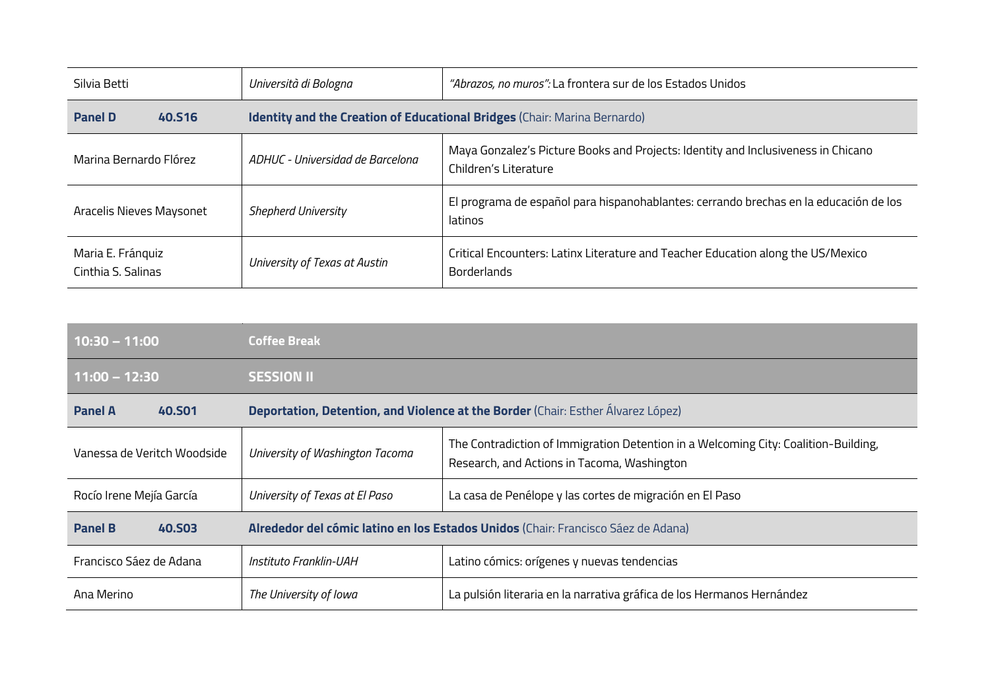| Silvia Betti                            | Università di Bologna            | "Abrazos, no muros": La frontera sur de los Estados Unidos                                                 |
|-----------------------------------------|----------------------------------|------------------------------------------------------------------------------------------------------------|
| <b>Panel D</b><br><b>40.S16</b>         |                                  | Identity and the Creation of Educational Bridges (Chair: Marina Bernardo)                                  |
| Marina Bernardo Flórez                  | ADHUC - Universidad de Barcelona | Maya Gonzalez's Picture Books and Projects: Identity and Inclusiveness in Chicano<br>Children's Literature |
| Aracelis Nieves Maysonet                | <b>Shepherd University</b>       | El programa de español para hispanohablantes: cerrando brechas en la educación de los<br>latinos           |
| Maria E. Fránquiz<br>Cinthia S. Salinas | University of Texas at Austin    | Critical Encounters: Latinx Literature and Teacher Education along the US/Mexico<br><b>Borderlands</b>     |

| $10:30 - 11:00$                 | <b>Coffee Break</b>                                                               |                                                                                                                                    |
|---------------------------------|-----------------------------------------------------------------------------------|------------------------------------------------------------------------------------------------------------------------------------|
| $11:00 - 12:30$                 | <b>SESSION II</b>                                                                 |                                                                                                                                    |
| <b>Panel A</b><br><b>40.SO1</b> | Deportation, Detention, and Violence at the Border (Chair: Esther Álvarez López)  |                                                                                                                                    |
| Vanessa de Veritch Woodside     | University of Washington Tacoma                                                   | The Contradiction of Immigration Detention in a Welcoming City: Coalition-Building,<br>Research, and Actions in Tacoma, Washington |
| Rocío Irene Mejía García        | University of Texas at El Paso                                                    | La casa de Penélope y las cortes de migración en El Paso                                                                           |
| <b>Panel B</b><br><b>40.S03</b> | Alrededor del cómic latino en los Estados Unidos (Chair: Francisco Sáez de Adana) |                                                                                                                                    |
| Francisco Sáez de Adana         | Instituto Franklin-UAH                                                            | Latino cómics: orígenes y nuevas tendencias                                                                                        |
| Ana Merino                      | The University of Iowa                                                            | La pulsión literaria en la narrativa gráfica de los Hermanos Hernández                                                             |